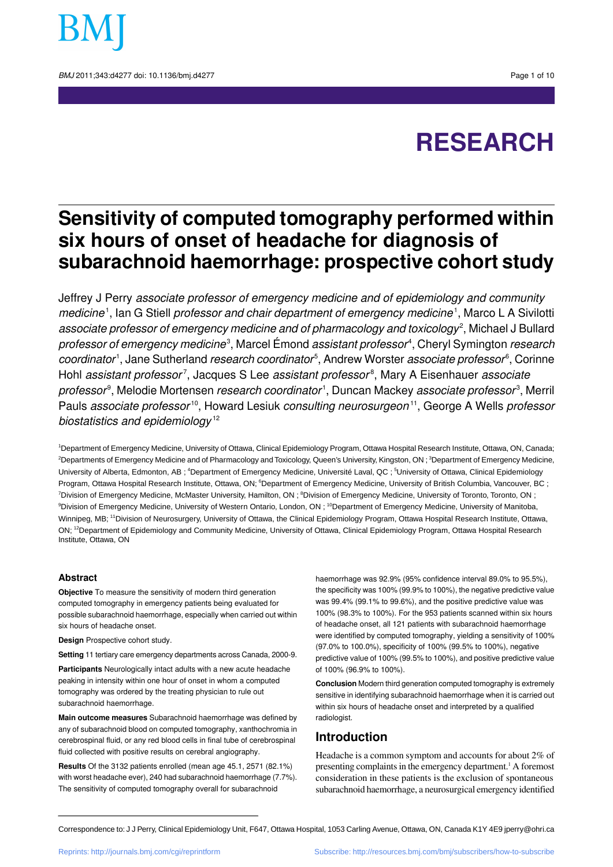

BMJ 2011:343:d4277 doi: 10.1136/bmi.d4277 **Page 1 of 10** 

# **RESEARCH**

# **Sensitivity of computed tomography performed within six hours of onset of headache for diagnosis of subarachnoid haemorrhage: prospective cohort study**

Jeffrey J Perry associate professor of emergency medicine and of epidemiology and community medicine<sup>1</sup>, Ian G Stiell *professor and chair department of emergency medicine<sup>1</sup>, Marco L A Sivilotti associate professor of emergency medicine and of pharmacology and toxicology<sup>2</sup>, Michael J Bullard professor of emergency medicine*<sup>3</sup>, Marcel Émond *assistant professor<sup>4</sup>,* Cheryl Symington *research* coordinator<sup>1</sup>, Jane Sutherland *research coordinator<sup>5</sup>, Andrew Worster associate professor<sup>6</sup>, Corinne* Hohl *assistant professor<sup>7</sup>,* Jacques S Lee *assistant professor*8, Mary A Eisenhauer *associate professor*°, Melodie Mortensen *research coordinator'* , Duncan Mackey *associate professor*<sup>3</sup>, Merril Pauls *associate professor*<sup>10</sup>, Howard Lesiuk *consulting neurosurgeon*<sup>11</sup>, George A Wells *professor* biostatistics and epidemiology<sup>12</sup>

<sup>1</sup>Department of Emergency Medicine, University of Ottawa, Clinical Epidemiology Program, Ottawa Hospital Research Institute, Ottawa, ON, Canada; <sup>2</sup>Departments of Emergency Medicine and of Pharmacology and Toxicology, Queen's University, Kingston, ON ;<sup>3</sup>Department of Emergency Medicine, University of Alberta, Edmonton, AB ; <sup>4</sup>Department of Emergency Medicine, Université Laval, QC ; <sup>5</sup>University of Ottawa, Clinical Epidemiology Program, Ottawa Hospital Research Institute, Ottawa, ON; <sup>6</sup>Department of Emergency Medicine, University of British Columbia, Vancouver, BC; <sup>7</sup>Division of Emergency Medicine, McMaster University, Hamilton, ON ; <sup>8</sup>Division of Emergency Medicine, University of Toronto, Toronto, ON ; <sup>9</sup>Division of Emergency Medicine, University of Western Ontario, London, ON ; <sup>10</sup>Department of Emergency Medicine, University of Manitoba, Winnipeg, MB; <sup>11</sup>Division of Neurosurgery, University of Ottawa, the Clinical Epidemiology Program, Ottawa Hospital Research Institute, Ottawa, ON; <sup>12</sup>Department of Epidemiology and Community Medicine, University of Ottawa, Clinical Epidemiology Program, Ottawa Hospital Research Institute, Ottawa, ON

#### **Abstract**

**Objective** To measure the sensitivity of modern third generation computed tomography in emergency patients being evaluated for possible subarachnoid haemorrhage, especially when carried out within six hours of headache onset.

**Design** Prospective cohort study.

**Setting** 11 tertiary care emergency departments across Canada, 2000-9.

**Participants** Neurologically intact adults with a new acute headache peaking in intensity within one hour of onset in whom a computed tomography was ordered by the treating physician to rule out subarachnoid haemorrhage.

**Main outcome measures** Subarachnoid haemorrhage was defined by any of subarachnoid blood on computed tomography, xanthochromia in cerebrospinal fluid, or any red blood cells in final tube of cerebrospinal fluid collected with positive results on cerebral angiography.

**Results** Of the 3132 patients enrolled (mean age 45.1, 2571 (82.1%) with worst headache ever), 240 had subarachnoid haemorrhage (7.7%). The sensitivity of computed tomography overall for subarachnoid

haemorrhage was 92.9% (95% confidence interval 89.0% to 95.5%). the specificity was 100% (99.9% to 100%), the negative predictive value was 99.4% (99.1% to 99.6%), and the positive predictive value was 100% (98.3% to 100%). For the 953 patients scanned within six hours of headache onset, all 121 patients with subarachnoid haemorrhage were identified by computed tomography, yielding a sensitivity of 100% (97.0% to 100.0%), specificity of 100% (99.5% to 100%), negative predictive value of 100% (99.5% to 100%), and positive predictive value of 100% (96.9% to 100%).

**Conclusion** Modern third generation computed tomography is extremely sensitive in identifying subarachnoid haemorrhage when it is carried out within six hours of headache onset and interpreted by a qualified radiologist.

## **Introduction**

Headache is a common symptom and accounts for about 2% of presenting complaints in the emergency department.<sup>1</sup> A foremost consideration in these patients is the exclusion of spontaneous subarachnoid haemorrhage, a neurosurgical emergency identified

Correspondence to: J J Perry, Clinical Epidemiology Unit, F647, Ottawa Hospital, 1053 Carling Avenue, Ottawa, ON, Canada K1Y 4E9 jperry@ohri.ca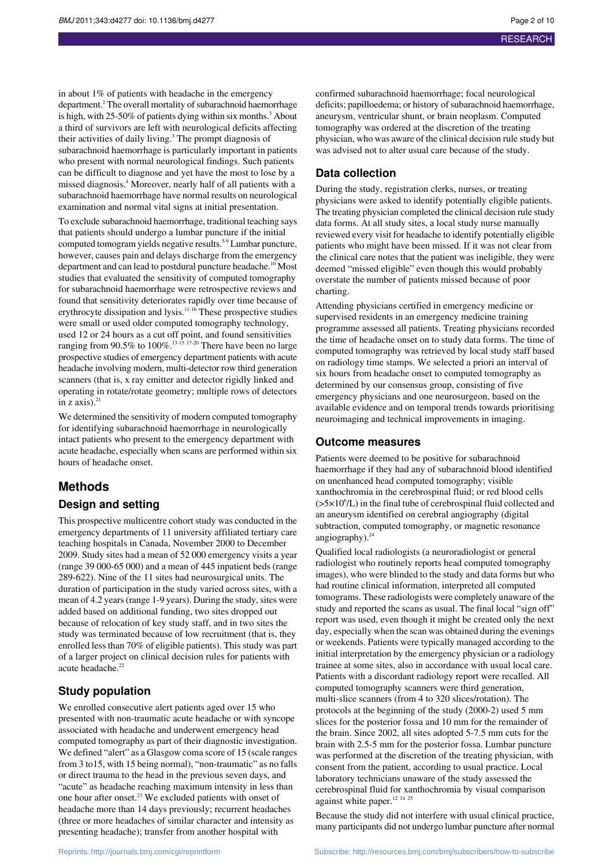in about 1% of patients with headache in the emergency department.<sup>2</sup> The overall mortality of subarachnoid haemorrhage is high, with 25-50% of patients dying within six months.<sup>3</sup> About a third of survivors are left with neurological deficits affecting their activities of daily living.<sup>3</sup> The prompt diagnosis of subarachnoid haemorrhage is particularly important in patients who present with normal neurological findings. Such patients can be difficult to diagnose and yet have the most to lose by a missed diagnosis.<sup>4</sup> Moreover, nearly half of all patients with a subarachnoid haemorrhage have normal results on neurological examination and normal vital signs at initial presentation.

To exclude subarachnoid haemorrhage, traditional teaching says that patients should undergo a lumbar puncture if the initial computed tomogram yields negative results.5-9 Lumbar puncture, however, causes pain and delays discharge from the emergency department and can lead to postdural puncture headache.<sup>10</sup> Most studies that evaluated the sensitivity of computed tomography for subarachnoid haemorrhage were retrospective reviews and found that sensitivity deteriorates rapidly over time because of erythrocyte dissipation and lysis.<sup>11-16</sup> These prospective studies were small or used older computed tomography technology, used 12 or 24 hours as a cut off point, and found sensitivities ranging from 90.5% to 100%.<sup>13-15</sup> 17-20 There have been no large prospective studies of emergency department patients with acute headache involving modern, multi-detector row third generation scanners (that is, x ray emitter and detector rigidly linked and operating in rotate/rotate geometry; multiple rows of detectors in z axis). $^{21}$ 

We determined the sensitivity of modern computed tomography for identifying subarachnoid haemorrhage in neurologically intact patients who present to the emergency department with acute headache, especially when scans are performed within six hours of headache onset.

## **Methods**

## **Design and setting**

This prospective multicentre cohort study was conducted in the emergency departments of 11 university affiliated tertiary care teaching hospitals in Canada, November 2000 to December 2009. Study sites had a mean of 52 000 emergency visits a year (range 39 000-65 000) and a mean of 445 inpatient beds (range 289-622). Nine of the 11 sites had neurosurgical units. The duration of participation in the study varied across sites, with a mean of 4.2 years (range 1-9 years). During the study, sites were added based on additional funding, two sites dropped out because of relocation of key study staff, and in two sites the study was terminated because of low recruitment (that is, they enrolled less than 70% of eligible patients). This study was part of a larger project on clinical decision rules for patients with acute headache.<sup>22</sup>

## **Study population**

We enrolled consecutive alert patients aged over 15 who presented with non-traumatic acute headache or with syncope associated with headache and underwent emergency head computed tomography as part of their diagnostic investigation. We defined "alert" as a Glasgow coma score of 15 (scale ranges from 3 to15, with 15 being normal), "non-traumatic" as no falls or direct trauma to the head in the previous seven days, and "acute" as headache reaching maximum intensity in less than one hour after onset.<sup>23</sup> We excluded patients with onset of headache more than 14 days previously; recurrent headaches (three or more headaches of similar character and intensity as presenting headache); transfer from another hospital with

confirmed subarachnoid haemorrhage; focal neurological deficits; papilloedema; or history of subarachnoid haemorrhage, aneurysm, ventricular shunt, or brain neoplasm. Computed tomography was ordered at the discretion of the treating physician, who was aware of the clinical decision rule study but was advised not to alter usual care because of the study.

## **Data collection**

During the study, registration clerks, nurses, or treating physicians were asked to identify potentially eligible patients. The treating physician completed the clinical decision rule study data forms. At all study sites, a local study nurse manually reviewed every visit for headache to identify potentially eligible patients who might have been missed. If it was not clear from the clinical care notes that the patient was ineligible, they were deemed "missed eligible" even though this would probably overstate the number of patients missed because of poor charting.

Attending physicians certified in emergency medicine or supervised residents in an emergency medicine training programme assessed all patients. Treating physicians recorded the time of headache onset on to study data forms. The time of computed tomography was retrieved by local study staff based on radiology time stamps. We selected a priori an interval of six hours from headache onset to computed tomography as determined by our consensus group, consisting of five emergency physicians and one neurosurgeon, based on the available evidence and on temporal trends towards prioritising neuroimaging and technical improvements in imaging.

## **Outcome measures**

Patients were deemed to be positive for subarachnoid haemorrhage if they had any of subarachnoid blood identified on unenhanced head computed tomography; visible xanthochromia in the cerebrospinal fluid; or red blood cells  $(>=5 \times 10^{6}/L)$  in the final tube of cerebrospinal fluid collected and an aneurysm identified on cerebral angiography (digital subtraction, computed tomography, or magnetic resonance angiography). $^{24}$ 

Qualified local radiologists (a neuroradiologist or general radiologist who routinely reports head computed tomography images), who were blinded to the study and data forms but who had routine clinical information, interpreted all computed tomograms. These radiologists were completely unaware of the study and reported the scans as usual. The final local "sign off" report was used, even though it might be created only the next day, especially when the scan was obtained during the evenings or weekends. Patients were typically managed according to the initial interpretation by the emergency physician or a radiology trainee at some sites, also in accordance with usual local care. Patients with a discordant radiology report were recalled. All computed tomography scanners were third generation, multi-slice scanners (from 4 to 320 slices/rotation). The protocols at the beginning of the study (2000-2) used 5 mm slices for the posterior fossa and 10 mm for the remainder of the brain. Since 2002, all sites adopted 5-7.5 mm cuts for the brain with 2.5-5 mm for the posterior fossa. Lumbar puncture was performed at the discretion of the treating physician, with consent from the patient, according to usual practice. Local laboratory technicians unaware of the study assessed the cerebrospinal fluid for xanthochromia by visual comparison against white paper.<sup>12 14 25</sup>

Because the study did not interfere with usual clinical practice, many participants did not undergo lumbar puncture after normal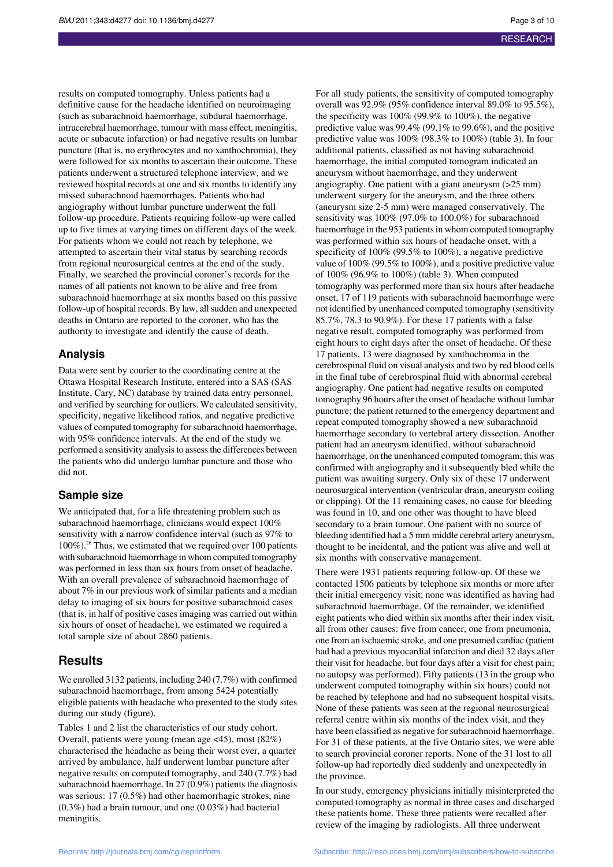results on computed tomography. Unless patients had a definitive cause for the headache identified on neuroimaging (such as subarachnoid haemorrhage, subdural haemorrhage, intracerebral haemorrhage, tumour with mass effect, meningitis, acute or subacute infarction) or had negative results on lumbar puncture (that is, no erythrocytes and no xanthochromia), they were followed for six months to ascertain their outcome. These patients underwent a structured telephone interview, and we reviewed hospital records at one and six months to identify any missed subarachnoid haemorrhages. Patients who had angiography without lumbar puncture underwent the full follow-up procedure. Patients requiring follow-up were called up to five times at varying times on different days of the week. For patients whom we could not reach by telephone, we attempted to ascertain their vital status by searching records from regional neurosurgical centres at the end of the study. Finally, we searched the provincial coroner's records for the names of all patients not known to be alive and free from subarachnoid haemorrhage at six months based on this passive follow-up of hospital records. By law, allsudden and unexpected deaths in Ontario are reported to the coroner, who has the authority to investigate and identify the cause of death.

## **Analysis**

Data were sent by courier to the coordinating centre at the Ottawa Hospital Research Institute, entered into a SAS (SAS Institute, Cary, NC) database by trained data entry personnel, and verified by searching for outliers. We calculated sensitivity, specificity, negative likelihood ratios, and negative predictive values of computed tomography for subarachnoid haemorrhage, with 95% confidence intervals. At the end of the study we performed a sensitivity analysisto assessthe differences between the patients who did undergo lumbar puncture and those who did not.

### **Sample size**

We anticipated that, for a life threatening problem such as subarachnoid haemorrhage, clinicians would expect 100% sensitivity with a narrow confidence interval (such as 97% to  $100\%$ ).<sup>26</sup> Thus, we estimated that we required over 100 patients with subarachnoid haemorrhage in whom computed tomography was performed in less than six hours from onset of headache. With an overall prevalence of subarachnoid haemorrhage of about 7% in our previous work of similar patients and a median delay to imaging of six hours for positive subarachnoid cases (that is, in half of positive cases imaging was carried out within six hours of onset of headache), we estimated we required a total sample size of about 2860 patients.

## **Results**

We enrolled 3132 patients, including 240 (7.7%) with confirmed subarachnoid haemorrhage, from among 5424 potentially eligible patients with headache who presented to the study sites during our study (figure).

Tables 1 and 2 list the characteristics of our study cohort. Overall, patients were young (mean age <45), most (82%) characterised the headache as being their worst ever, a quarter arrived by ambulance, half underwent lumbar puncture after negative results on computed tomography, and 240 (7.7%) had subarachnoid haemorrhage. In 27 (0.9%) patients the diagnosis was serious: 17 (0.5%) had other haemorrhagic strokes, nine (0.3%) had a brain tumour, and one (0.03%) had bacterial meningitis.

For all study patients, the sensitivity of computed tomography overall was 92.9% (95% confidence interval 89.0% to 95.5%), the specificity was 100% (99.9% to 100%), the negative predictive value was 99.4% (99.1% to 99.6%), and the positive predictive value was 100% (98.3% to 100%) (table 3). In four additional patients, classified as not having subarachnoid haemorrhage, the initial computed tomogram indicated an aneurysm without haemorrhage, and they underwent angiography. One patient with a giant aneurysm (>25 mm) underwent surgery for the aneurysm, and the three others (aneurysm size 2-5 mm) were managed conservatively. The sensitivity was 100% (97.0% to 100.0%) for subarachnoid haemorrhage in the 953 patients in whom computed tomography was performed within six hours of headache onset, with a specificity of 100% (99.5% to 100%), a negative predictive value of 100% (99.5% to 100%), and a positive predictive value of 100% (96.9% to 100%) (table 3). When computed tomography was performed more than six hours after headache onset, 17 of 119 patients with subarachnoid haemorrhage were not identified by unenhanced computed tomography (sensitivity 85.7%, 78.3 to 90.9%). For these 17 patients with a false negative result, computed tomography was performed from eight hours to eight days after the onset of headache. Of these 17 patients, 13 were diagnosed by xanthochromia in the cerebrospinal fluid on visual analysis and two by red blood cells in the final tube of cerebrospinal fluid with abnormal cerebral angiography. One patient had negative results on computed tomography 96 hours after the onset of headache without lumbar puncture; the patient returned to the emergency department and repeat computed tomography showed a new subarachnoid haemorrhage secondary to vertebral artery dissection. Another patient had an aneurysm identified, without subarachnoid haemorrhage, on the unenhanced computed tomogram; this was confirmed with angiography and it subsequently bled while the patient was awaiting surgery. Only six of these 17 underwent neurosurgical intervention (ventricular drain, aneurysm coiling or clipping). Of the 11 remaining cases, no cause for bleeding was found in 10, and one other was thought to have bleed secondary to a brain tumour. One patient with no source of bleeding identified had a 5 mm middle cerebral artery aneurysm, thought to be incidental, and the patient was alive and well at six months with conservative management.

There were 1931 patients requiring follow-up. Of these we contacted 1506 patients by telephone six months or more after their initial emergency visit; none was identified as having had subarachnoid haemorrhage. Of the remainder, we identified eight patients who died within six months after their index visit, all from other causes: five from cancer, one from pneumonia, one from an ischaemic stroke, and one presumed cardiac (patient had had a previous myocardial infarction and died 32 days after their visit for headache, but four days after a visit for chest pain; no autopsy was performed). Fifty patients (13 in the group who underwent computed tomography within six hours) could not be reached by telephone and had no subsequent hospital visits. None of these patients was seen at the regional neurosurgical referral centre within six months of the index visit, and they have been classified as negative for subarachnoid haemorrhage. For 31 of these patients, at the five Ontario sites, we were able to search provincial coroner reports. None of the 31 lost to all follow-up had reportedly died suddenly and unexpectedly in the province.

In our study, emergency physicians initially misinterpreted the computed tomography as normal in three cases and discharged these patients home. These three patients were recalled after review of the imaging by radiologists. All three underwent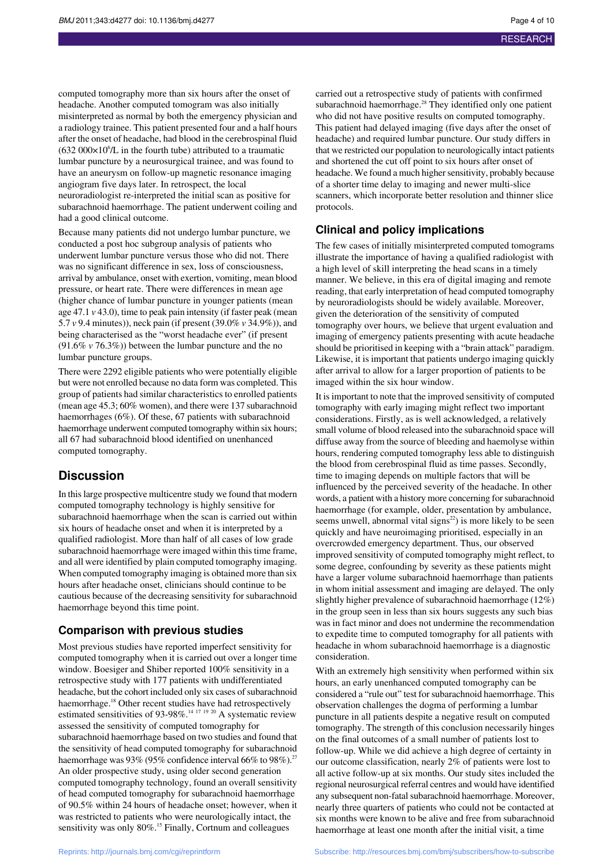computed tomography more than six hours after the onset of headache. Another computed tomogram was also initially misinterpreted as normal by both the emergency physician and a radiology trainee. This patient presented four and a half hours after the onset of headache, had blood in the cerebrospinal fluid  $(632 000 \times 10^{6}$ /L in the fourth tube) attributed to a traumatic lumbar puncture by a neurosurgical trainee, and was found to have an aneurysm on follow-up magnetic resonance imaging angiogram five days later. In retrospect, the local neuroradiologist re-interpreted the initial scan as positive for subarachnoid haemorrhage. The patient underwent coiling and had a good clinical outcome.

Because many patients did not undergo lumbar puncture, we conducted a post hoc subgroup analysis of patients who underwent lumbar puncture versus those who did not. There was no significant difference in sex, loss of consciousness, arrival by ambulance, onset with exertion, vomiting, mean blood pressure, or heart rate. There were differences in mean age (higher chance of lumbar puncture in younger patients (mean age 47.1 *v* 43.0), time to peak pain intensity (if faster peak (mean 5.7 *v* 9.4 minutes)), neck pain (if present (39.0% *v* 34.9%)), and being characterised as the "worst headache ever" (if present (91.6% *v* 76.3%)) between the lumbar puncture and the no lumbar puncture groups.

There were 2292 eligible patients who were potentially eligible but were not enrolled because no data form was completed. This group of patients had similar characteristics to enrolled patients (mean age 45.3; 60% women), and there were 137 subarachnoid haemorrhages (6%). Of these, 67 patients with subarachnoid haemorrhage underwent computed tomography within six hours; all 67 had subarachnoid blood identified on unenhanced computed tomography.

## **Discussion**

In thislarge prospective multicentre study we found that modern computed tomography technology is highly sensitive for subarachnoid haemorrhage when the scan is carried out within six hours of headache onset and when it is interpreted by a qualified radiologist. More than half of all cases of low grade subarachnoid haemorrhage were imaged within this time frame, and all were identified by plain computed tomography imaging. When computed tomography imaging is obtained more than six hours after headache onset, clinicians should continue to be cautious because of the decreasing sensitivity for subarachnoid haemorrhage beyond this time point.

### **Comparison with previous studies**

Most previous studies have reported imperfect sensitivity for computed tomography when it is carried out over a longer time window. Boesiger and Shiber reported 100% sensitivity in a retrospective study with 177 patients with undifferentiated headache, but the cohort included only six cases of subarachnoid haemorrhage.<sup>18</sup> Other recent studies have had retrospectively estimated sensitivities of 93-98%.<sup>14 17 19 20</sup> A systematic review assessed the sensitivity of computed tomography for subarachnoid haemorrhage based on two studies and found that the sensitivity of head computed tomography for subarachnoid haemorrhage was  $93\%$  (95% confidence interval 66% to 98%).<sup>27</sup> An older prospective study, using older second generation computed tomography technology, found an overall sensitivity of head computed tomography for subarachnoid haemorrhage of 90.5% within 24 hours of headache onset; however, when it was restricted to patients who were neurologically intact, the sensitivity was only 80%.<sup>15</sup> Finally, Cortnum and colleagues

carried out a retrospective study of patients with confirmed subarachnoid haemorrhage.<sup>28</sup> They identified only one patient who did not have positive results on computed tomography. This patient had delayed imaging (five days after the onset of headache) and required lumbar puncture. Our study differs in that we restricted our population to neurologically intact patients and shortened the cut off point to six hours after onset of headache. We found a much higher sensitivity, probably because of a shorter time delay to imaging and newer multi-slice scanners, which incorporate better resolution and thinner slice protocols.

## **Clinical and policy implications**

The few cases of initially misinterpreted computed tomograms illustrate the importance of having a qualified radiologist with a high level of skill interpreting the head scans in a timely manner. We believe, in this era of digital imaging and remote reading, that early interpretation of head computed tomography by neuroradiologists should be widely available. Moreover, given the deterioration of the sensitivity of computed tomography over hours, we believe that urgent evaluation and imaging of emergency patients presenting with acute headache should be prioritised in keeping with a "brain attack" paradigm. Likewise, it is important that patients undergo imaging quickly after arrival to allow for a larger proportion of patients to be imaged within the six hour window.

It is important to note that the improved sensitivity of computed tomography with early imaging might reflect two important considerations. Firstly, as is well acknowledged, a relatively small volume of blood released into the subarachnoid space will diffuse away from the source of bleeding and haemolyse within hours, rendering computed tomography less able to distinguish the blood from cerebrospinal fluid as time passes. Secondly, time to imaging depends on multiple factors that will be influenced by the perceived severity of the headache. In other words, a patient with a history more concerning for subarachnoid haemorrhage (for example, older, presentation by ambulance, seems unwell, abnormal vital signs $^{22}$ ) is more likely to be seen quickly and have neuroimaging prioritised, especially in an overcrowded emergency department. Thus, our observed improved sensitivity of computed tomography might reflect, to some degree, confounding by severity as these patients might have a larger volume subarachnoid haemorrhage than patients in whom initial assessment and imaging are delayed. The only slightly higher prevalence of subarachnoid haemorrhage (12%) in the group seen in less than six hours suggests any such bias was in fact minor and does not undermine the recommendation to expedite time to computed tomography for all patients with headache in whom subarachnoid haemorrhage is a diagnostic consideration.

With an extremely high sensitivity when performed within six hours, an early unenhanced computed tomography can be considered a "rule out" test for subarachnoid haemorrhage. This observation challenges the dogma of performing a lumbar puncture in all patients despite a negative result on computed tomography. The strength of this conclusion necessarily hinges on the final outcomes of a small number of patients lost to follow-up. While we did achieve a high degree of certainty in our outcome classification, nearly 2% of patients were lost to all active follow-up at six months. Our study sites included the regional neurosurgical referral centres and would have identified any subsequent non-fatal subarachnoid haemorrhage. Moreover, nearly three quarters of patients who could not be contacted at six months were known to be alive and free from subarachnoid haemorrhage at least one month after the initial visit, a time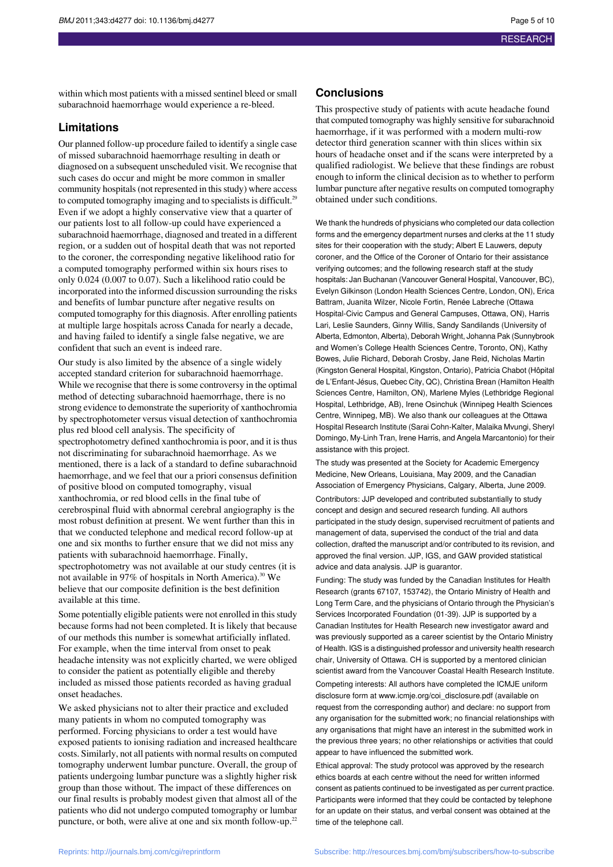within which most patients with a missed sentinel bleed orsmall subarachnoid haemorrhage would experience a re-bleed.

## **Limitations**

Our planned follow-up procedure failed to identify a single case of missed subarachnoid haemorrhage resulting in death or diagnosed on a subsequent unscheduled visit. We recognise that such cases do occur and might be more common in smaller community hospitals (not represented in this study) where access to computed tomography imaging and to specialists is difficult.<sup>29</sup> Even if we adopt a highly conservative view that a quarter of our patients lost to all follow-up could have experienced a subarachnoid haemorrhage, diagnosed and treated in a different region, or a sudden out of hospital death that was not reported to the coroner, the corresponding negative likelihood ratio for a computed tomography performed within six hours rises to only 0.024 (0.007 to 0.07). Such a likelihood ratio could be incorporated into the informed discussion surrounding the risks and benefits of lumbar puncture after negative results on computed tomography for this diagnosis. After enrolling patients at multiple large hospitals across Canada for nearly a decade, and having failed to identify a single false negative, we are confident that such an event is indeed rare.

Our study is also limited by the absence of a single widely accepted standard criterion for subarachnoid haemorrhage. While we recognise that there is some controversy in the optimal method of detecting subarachnoid haemorrhage, there is no strong evidence to demonstrate the superiority of xanthochromia by spectrophotometer versus visual detection of xanthochromia plus red blood cell analysis. The specificity of spectrophotometry defined xanthochromia is poor, and it is thus not discriminating for subarachnoid haemorrhage. As we mentioned, there is a lack of a standard to define subarachnoid haemorrhage, and we feel that our a priori consensus definition of positive blood on computed tomography, visual xanthochromia, or red blood cells in the final tube of cerebrospinal fluid with abnormal cerebral angiography is the most robust definition at present. We went further than this in that we conducted telephone and medical record follow-up at one and six months to further ensure that we did not miss any patients with subarachnoid haemorrhage. Finally, spectrophotometry was not available at our study centres (it is not available in 97% of hospitals in North America).<sup>30</sup> We believe that our composite definition is the best definition available at this time.

Some potentially eligible patients were not enrolled in this study because forms had not been completed. It is likely that because of our methods this number is somewhat artificially inflated. For example, when the time interval from onset to peak headache intensity was not explicitly charted, we were obliged to consider the patient as potentially eligible and thereby included as missed those patients recorded as having gradual onset headaches.

We asked physicians not to alter their practice and excluded many patients in whom no computed tomography was performed. Forcing physicians to order a test would have exposed patients to ionising radiation and increased healthcare costs. Similarly, not all patients with normal results on computed tomography underwent lumbar puncture. Overall, the group of patients undergoing lumbar puncture was a slightly higher risk group than those without. The impact of these differences on our final results is probably modest given that almost all of the patients who did not undergo computed tomography or lumbar puncture, or both, were alive at one and six month follow-up.<sup>22</sup>

#### **Conclusions**

This prospective study of patients with acute headache found that computed tomography was highly sensitive for subarachnoid haemorrhage, if it was performed with a modern multi-row detector third generation scanner with thin slices within six hours of headache onset and if the scans were interpreted by a qualified radiologist. We believe that these findings are robust enough to inform the clinical decision as to whether to perform lumbar puncture after negative results on computed tomography obtained under such conditions.

We thank the hundreds of physicians who completed our data collection forms and the emergency department nurses and clerks at the 11 study sites for their cooperation with the study; Albert E Lauwers, deputy coroner, and the Office of the Coroner of Ontario for their assistance verifying outcomes; and the following research staff at the study hospitals: Jan Buchanan (Vancouver General Hospital, Vancouver, BC), Evelyn Gilkinson (London Health Sciences Centre, London, ON), Erica Battram, Juanita Wilzer, Nicole Fortin, Renée Labreche (Ottawa Hospital-Civic Campus and General Campuses, Ottawa, ON), Harris Lari, Leslie Saunders, Ginny Willis, Sandy Sandilands (University of Alberta, Edmonton, Alberta), Deborah Wright, Johanna Pak (Sunnybrook and Women's College Health Sciences Centre, Toronto, ON), Kathy Bowes, Julie Richard, Deborah Crosby, Jane Reid, Nicholas Martin (Kingston General Hospital, Kingston, Ontario), Patricia Chabot (Hôpital de L'Enfant-Jésus, Quebec City, QC), Christina Brean (Hamilton Health Sciences Centre, Hamilton, ON), Marlene Myles (Lethbridge Regional Hospital, Lethbridge, AB), Irene Osinchuk (Winnipeg Health Sciences Centre, Winnipeg, MB). We also thank our colleagues at the Ottawa Hospital Research Institute (Sarai Cohn-Kalter, Malaika Mvungi, Sheryl Domingo, My-Linh Tran, Irene Harris, and Angela Marcantonio) for their assistance with this project.

The study was presented at the Society for Academic Emergency Medicine, New Orleans, Louisiana, May 2009, and the Canadian Association of Emergency Physicians, Calgary, Alberta, June 2009. Contributors: JJP developed and contributed substantially to study concept and design and secured research funding. All authors participated in the study design, supervised recruitment of patients and management of data, supervised the conduct of the trial and data collection, drafted the manuscript and/or contributed to its revision, and approved the final version. JJP, IGS, and GAW provided statistical advice and data analysis. JJP is guarantor.

Funding: The study was funded by the Canadian Institutes for Health Research (grants 67107, 153742), the Ontario Ministry of Health and Long Term Care, and the physicians of Ontario through the Physician's Services Incorporated Foundation (01-39). JJP is supported by a Canadian Institutes for Health Research new investigator award and was previously supported as a career scientist by the Ontario Ministry of Health. IGS is a distinguished professor and university health research chair, University of Ottawa. CH is supported by a mentored clinician scientist award from the Vancouver Coastal Health Research Institute. Competing interests: All authors have completed the ICMJE uniform disclosure form at www.icmje.org/coi\_disclosure.pdf (available on request from the corresponding author) and declare: no support from any organisation for the submitted work; no financial relationships with any organisations that might have an interest in the submitted work in the previous three years; no other relationships or activities that could appear to have influenced the submitted work.

Ethical approval: The study protocol was approved by the research ethics boards at each centre without the need for written informed consent as patients continued to be investigated as per current practice. Participants were informed that they could be contacted by telephone for an update on their status, and verbal consent was obtained at the time of the telephone call.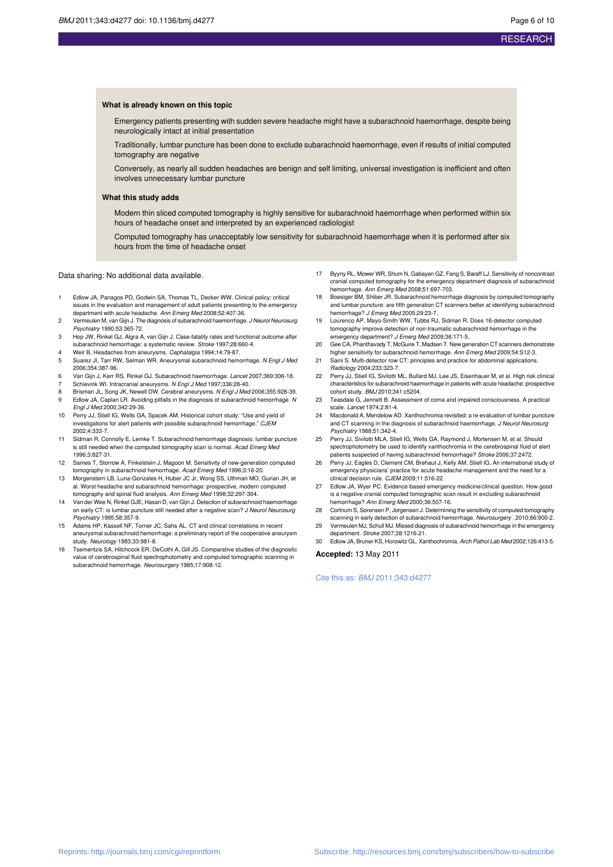#### **What is already known on this topic**

Emergency patients presenting with sudden severe headache might have a subarachnoid haemorrhage, despite being neurologically intact at initial presentation

Traditionally, lumbar puncture has been done to exclude subarachnoid haemorrhage, even if results of initial computed tomography are negative

Conversely, as nearly all sudden headaches are benign and self limiting, universal investigation is inefficient and often involves unnecessary lumbar puncture

#### **What this study adds**

Modern thin sliced computed tomography is highly sensitive for subarachnoid haemorrhage when performed within six hours of headache onset and interpreted by an experienced radiologist

Computed tomography has unacceptably low sensitivity for subarachnoid haemorrhage when it is performed after six hours from the time of headache onset

Data sharing: No additional data available.

- 1 Edlow JA, Panagos PD, Godwin SA, Thomas TL, Decker WW. Clinical policy: critical issues in the evaluation and management of adult patients presenting to the emergency<br>department with acute headache. *Ann Emerg Med* 2008;52:407-36.
- 2 Vermeulen M, van Gijn J. The diagnosis of subarachnoid haemorrhage. J Neurol Neurosurg Psychiatry 1990;53:365-72.
- 3 Hop JW, Rinkel GJ, Algra A, van Gijn J. Case-fatality rates and functional outcome after subarachnoid hemorrhage: a systematic review. Stroke 1997;28:660-4.
- 4 Weir B. Headaches from aneurysms. Cephalalgia 1994;14:79-87.
- 5 Suarez JI, Tarr RW, Selman WR. Aneurysmal subarachnoid hemorrhage. N Engl J Med 2006;354:387-96.
- 6 Van Gijn J, Kerr RS, Rinkel GJ. Subarachnoid haemorrhage. Lancet 2007;369:306-18.
- 7 Schievink WI. Intracranial aneurysms. N Engl J Med 1997;336:28-40.<br>8 Brisman JJ Song JK Newell DW Cerebral aneurysms N Engl J Meg
- Brisman JL, Song JK, Newell DW. Cerebral aneurysms. N Engl J Med 2006;355:928-39. 9 Edlow JA, Caplan LR. Avoiding pitfalls in the diagnosis of subarachnoid hemorrhage. N Engl J Med 2000;342:29-36.
- 10 Perry JJ, Stiell IG, Wells GA, Spacek AM. Historical cohort study: "Use and yield of investigations for alert patients with possible subarachnoid hemorrhage." CJEM 2002;4:333-7.
- 11 Sidman R, Connolly E, Lemke T. Subarachnoid hemorrhage diagnosis: lumbar puncture is still needed when the computed tomography scan is normal. Acad Emerg Med 1996;3:827-31.
- 12 Sames T, Storrow A, Finkelstein J, Magoon M. Sensitivity of new-generation computed tomography in subarachnoid hemorrhage. Acad Emerg Med 1996;3:16-20.
- 13 Morgenstern LB, Luna-Gonzales H, Huber JC Jr, Wong SS, Uthman MO, Gurian JH, et al. Worst headache and subarachnoid hemorrhage: prospective, modern computed tomography and spinal fluid analysis. Ann Emerg Med 1998;32:297-304.
- 14 Van der Wee N, Rinkel GJE, Hasan D, van Gijn J. Detection of subarachnoid haemorrhage on early CT: is lumbar puncture still needed after a negative scan? J Neurol Neurosurg Psychiatry 1995;58:357-9.
- Adams HP, Kassell NF, Torner JC, Sahs AL. CT and clinical correlations in recent aneurysmal subarachnoid hemorrhage: a preliminary report of the cooperative aneurysm study. Neurology 1983;33:981-8.
- 16 Tsementzis SA, Hitchcock ER, DeCothi A, Gill JS. Comparative studies of the diagnostic value of cerebrospinal fluid spectrophotometry and computed tomographic scanning in subarachnoid hemorrhage. Neurosurgery 1985;17:908-12.
- 17 Byyny RL, Mower WR, Shum N, Gabayan GZ, Fang S, Baraff LJ. Sensitivity of noncontrast cranial computed tomography for the emergency department diagnosis of subarachnoid hemorrhage. Ann Emerg Med 2008;51:697-703.
- Boesiger BM, Shiber JR. Subarachnoid hemorrhage diagnosis by computed tomography and lumbar puncture: are fifth generation CT scanners better at identifying subarachnoid hemorrhage? J Emerg Med 2005;29:23-7.
- 19 Lourenco AP, Mayo-Smith WW, Tubbs RJ, Sidman R. Does 16-detector computed tomography improve detection of non-traumatic subarachnoid hemorrhage in the
- emergency department? J Emerg Med 2009;36:171-5. 20 Gee CA, Phanthavady T, McGuire T, Madsen T. New generation CT scanners demonstrate higher sensitivity for subarachnoid hemorrhage. Ann Emerg Med 2009;54:S12-3.
- 21 Saini S. Multi-detector row CT: principles and practice for abdominal applications. Radiology 2004;233:323-7.
- 22 Perry JJ, Stiell IG, Sivilotti ML, Bullard MJ, Lee JS, Eisenhauer M, et al. High risk clinical characteristics for subarachnoid haemorrhage in patients with acute headache: prospective cohort study. BMJ 2010;341:c5204.
- 23 Teasdale G, Jennett B. Assessment of coma and impaired consciousness. A practical scale. Lancet 1974;2:81-4.
- 24 Macdonald A, Mendelow AD. Xanthochromia revisited: a re-evaluation of lumbar puncture and CT scanning in the diagnosis of subarachnoid haemorrhage. J Neurol Neurosurg Psychiatry 1988;51:342-4.
- 25 Perry JJ, Sivilotti MLA, Stiell IG, Wells GA, Raymond J, Mortensen M, et al. Should spectrophotometry be used to identify xanthochromia in the cerebrospinal fluid of alert patients suspected of having subarachnoid hemorrhage? Stroke 2006;37:2472.
- 26 Perry JJ, Eagles D, Clement CM, Brehaut J, Kelly AM, Stiell IG. An international study of emergency physicians' practice for acute headache management and the need for a clinical decision rule. CJEM 2009;11:516-22.
- 27 Edlow JA, Wyer PC. Evidence-based emergency medicine/clinical question. How good is a negative cranial computed tomographic scan result in excluding subarachnoid hemorrhage? Ann Emerg Med 2000;36:507-16.
- 28 Cortnum S, Sorensen P, Jorgensen J. Determining the sensitivity of computed tomography scanning in early detection of subarachnoid hemorrhage. Neurosurgery . 2010;66:900-2.
- 29 Vermeulen MJ, Schull MJ. Missed diagnosis of subarachnoid hemorrhage in the emergency department. Stroke 2007;38:1216-21.
- 30 Edlow JA, Bruner KS, Horowitz GL. Xanthochromia. Arch Pathol Lab Med 2002;126:413-5.

#### **Accepted:** 13 May 2011

Cite this as: BMJ 2011;343:d4277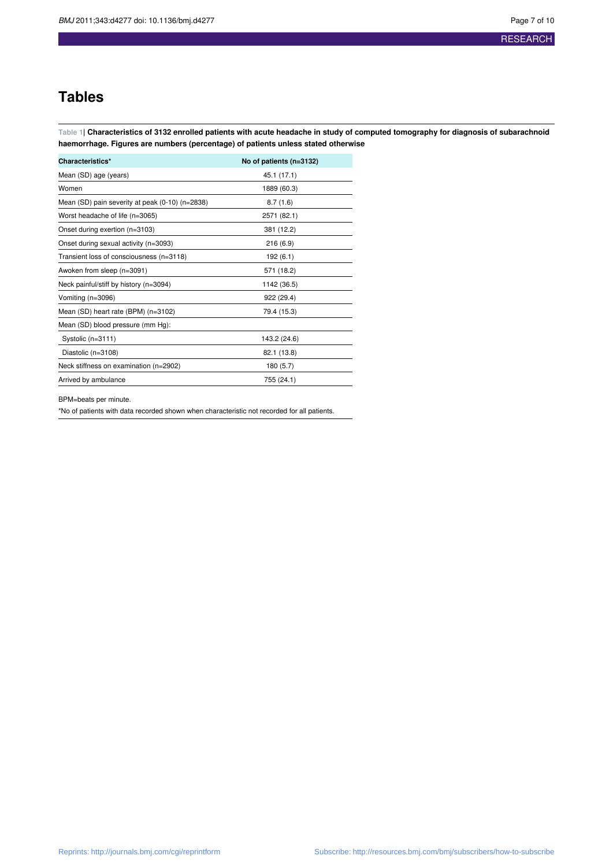## **Tables**

Table 1| Characteristics of 3132 enrolled patients with acute headache in study of computed tomography for diagnosis of subarachnoid **haemorrhage. Figures are numbers (percentage) of patients unless stated otherwise**

| Characteristics*                                | No of patients (n=3132) |  |  |  |
|-------------------------------------------------|-------------------------|--|--|--|
| Mean (SD) age (years)                           | 45.1 (17.1)             |  |  |  |
| Women                                           | 1889 (60.3)             |  |  |  |
| Mean (SD) pain severity at peak (0-10) (n=2838) | 8.7(1.6)                |  |  |  |
| Worst headache of life (n=3065)                 | 2571 (82.1)             |  |  |  |
| Onset during exertion (n=3103)                  | 381 (12.2)              |  |  |  |
| Onset during sexual activity (n=3093)           | 216(6.9)                |  |  |  |
| Transient loss of consciousness (n=3118)        | 192 (6.1)               |  |  |  |
| Awoken from sleep (n=3091)                      | 571 (18.2)              |  |  |  |
| Neck painful/stiff by history (n=3094)          | 1142 (36.5)             |  |  |  |
| Vomiting (n=3096)                               | 922 (29.4)              |  |  |  |
| Mean (SD) heart rate (BPM) (n=3102)             | 79.4 (15.3)             |  |  |  |
| Mean (SD) blood pressure (mm Hg):               |                         |  |  |  |
| Systolic (n=3111)                               | 143.2 (24.6)            |  |  |  |
| Diastolic (n=3108)                              | 82.1 (13.8)             |  |  |  |
| Neck stiffness on examination (n=2902)          | 180 (5.7)               |  |  |  |
| Arrived by ambulance                            | 755 (24.1)              |  |  |  |

BPM=beats per minute.

\*No of patients with data recorded shown when characteristic not recorded for all patients.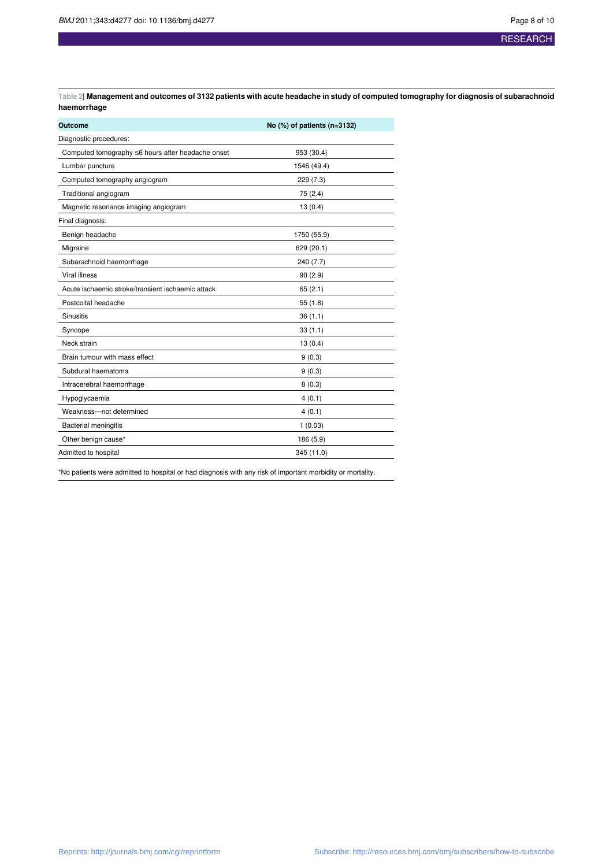RESEARCH

Table 2| Management and outcomes of 3132 patients with acute headache in study of computed tomography for diagnosis of subarachnoid **haemorrhage**

| Outcome                                           | No $(\%)$ of patients (n=3132) |  |  |  |  |
|---------------------------------------------------|--------------------------------|--|--|--|--|
| Diagnostic procedures:                            |                                |  |  |  |  |
| Computed tomography ≤6 hours after headache onset | 953 (30.4)                     |  |  |  |  |
| Lumbar puncture                                   | 1546 (49.4)                    |  |  |  |  |
| Computed tomography angiogram                     | 229 (7.3)                      |  |  |  |  |
| Traditional angiogram                             | 75 (2.4)                       |  |  |  |  |
| Magnetic resonance imaging angiogram              | 13(0.4)                        |  |  |  |  |
| Final diagnosis:                                  |                                |  |  |  |  |
| Benign headache                                   | 1750 (55.9)                    |  |  |  |  |
| Migraine                                          | 629 (20.1)                     |  |  |  |  |
| Subarachnoid haemorrhage                          | 240 (7.7)                      |  |  |  |  |
| <b>Viral illness</b>                              | 90(2.9)                        |  |  |  |  |
| Acute ischaemic stroke/transient ischaemic attack | 65(2.1)                        |  |  |  |  |
| Postcoital headache                               | 55(1.8)                        |  |  |  |  |
| <b>Sinusitis</b>                                  | 36(1.1)                        |  |  |  |  |
| Syncope                                           | 33(1.1)                        |  |  |  |  |
| Neck strain                                       | 13(0.4)                        |  |  |  |  |
| Brain tumour with mass effect                     | 9(0.3)                         |  |  |  |  |
| Subdural haematoma                                | 9(0.3)                         |  |  |  |  |
| Intracerebral haemorrhage                         | 8(0.3)                         |  |  |  |  |
| Hypoglycaemia                                     | 4(0.1)                         |  |  |  |  |
| Weakness-not determined                           | 4(0.1)                         |  |  |  |  |
| <b>Bacterial meningitis</b>                       | 1(0.03)                        |  |  |  |  |
| Other benign cause*                               | 186 (5.9)                      |  |  |  |  |
| Admitted to hospital                              | 345 (11.0)                     |  |  |  |  |

\*No patients were admitted to hospital or had diagnosis with any risk of important morbidity or mortality.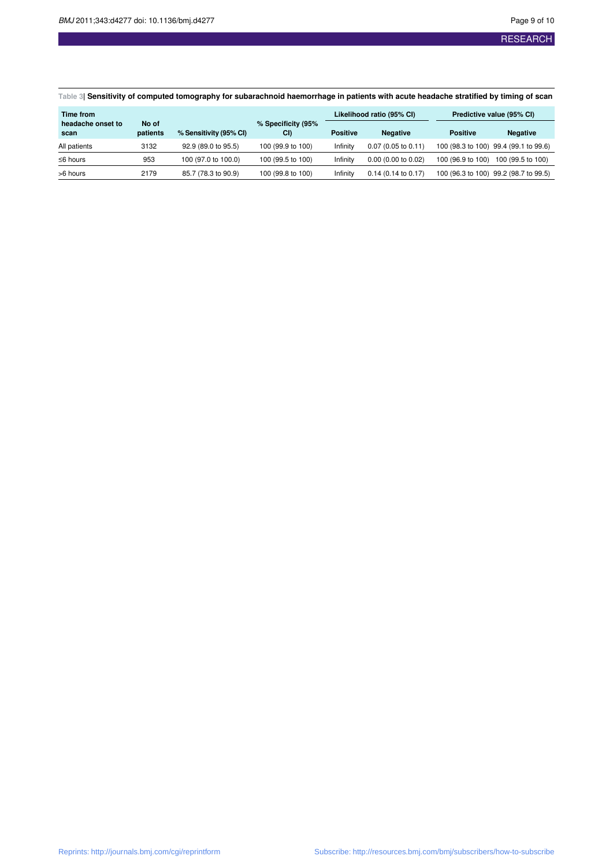## **RESEARCH**

Table 3| Sensitivity of computed tomography for subarachnoid haemorrhage in patients with acute headache stratified by timing of scan

| Time from                 |                   |                        |                          | Likelihood ratio (95% CI) |                               | Predictive value (95% CI) |                                       |
|---------------------------|-------------------|------------------------|--------------------------|---------------------------|-------------------------------|---------------------------|---------------------------------------|
| headache onset to<br>scan | No of<br>patients | % Sensitivity (95% CI) | % Specificity (95%<br>CI | <b>Positive</b>           | <b>Negative</b>               | <b>Positive</b>           | <b>Negative</b>                       |
| All patients              | 3132              | 92.9 (89.0 to 95.5)    | 100 (99.9 to 100)        | Infinity                  | $0.07(0.05 \text{ to } 0.11)$ |                           | 100 (98.3 to 100) 99.4 (99.1 to 99.6) |
| $\leq$ 6 hours            | 953               | 100 (97.0 to 100.0)    | 100 (99.5 to 100)        | Infinity                  | $0.00$ (0.00 to 0.02)         | 100 (96.9 to 100)         | 100 (99.5 to 100)                     |
| >6 hours                  | 2179              | 85.7 (78.3 to 90.9)    | 100 (99.8 to 100)        | Infinity                  | $0.14$ (0.14 to 0.17)         |                           | 100 (96.3 to 100) 99.2 (98.7 to 99.5) |